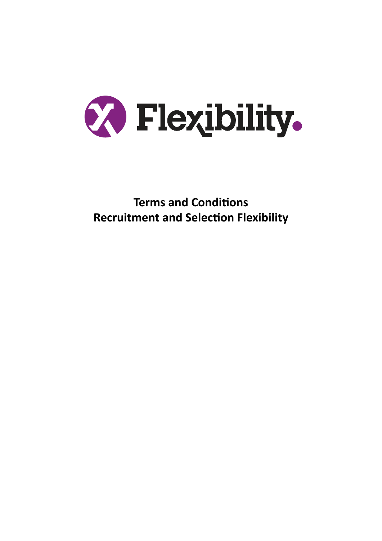

**Terms and Conditions Recruitment and Selection Flexibility**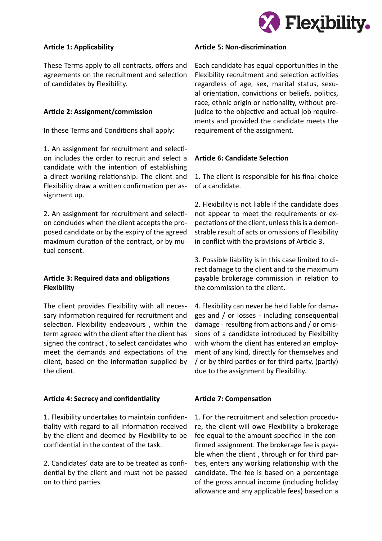

#### **Article 1: Applicability**

These Terms apply to all contracts, offers and agreements on the recruitment and selection of candidates by Flexibility.

### **Article 2: Assignment/commission**

In these Terms and Conditions shall apply:

1. An assignment for recruitment and selection includes the order to recruit and select a candidate with the intention of establishing a direct working relationship. The client and Flexibility draw a written confirmation per assignment up.

2. An assignment for recruitment and selection concludes when the client accepts the proposed candidate or by the expiry of the agreed maximum duration of the contract, or by mutual consent.

# **Article 3: Required data and obligations Flexibility**

The client provides Flexibility with all necessary information required for recruitment and selection. Flexibility endeavours , within the term agreed with the client after the client has signed the contract , to select candidates who meet the demands and expectations of the client, based on the information supplied by the client.

#### **Article 4: Secrecy and confidentiality**

1. Flexibility undertakes to maintain confidentiality with regard to all information received by the client and deemed by Flexibility to be confidential in the context of the task.

2. Candidates' data are to be treated as confidential by the client and must not be passed on to third parties.

#### **Article 5: Non-discrimination**

Each candidate has equal opportunities in the Flexibility recruitment and selection activities regardless of age, sex, marital status, sexual orientation, convictions or beliefs, politics, race, ethnic origin or nationality, without prejudice to the objective and actual job requirements and provided the candidate meets the requirement of the assignment.

# **Article 6: Candidate Selection**

1. The client is responsible for his final choice of a candidate.

2. Flexibility is not liable if the candidate does not appear to meet the requirements or expectations of the client, unless this is a demonstrable result of acts or omissions of Flexibility in conflict with the provisions of Article 3.

3. Possible liability is in this case limited to direct damage to the client and to the maximum payable brokerage commission in relation to the commission to the client.

4. Flexibility can never be held liable for damages and / or losses - including consequential damage - resulting from actions and / or omissions of a candidate introduced by Flexibility with whom the client has entered an employment of any kind, directly for themselves and / or by third parties or for third party, (partly) due to the assignment by Flexibility.

# **Article 7: Compensation**

1. For the recruitment and selection procedure, the client will owe Flexibility a brokerage fee equal to the amount specified in the confirmed assignment. The brokerage fee is payable when the client , through or for third parties, enters any working relationship with the candidate. The fee is based on a percentage of the gross annual income (including holiday allowance and any applicable fees) based on a